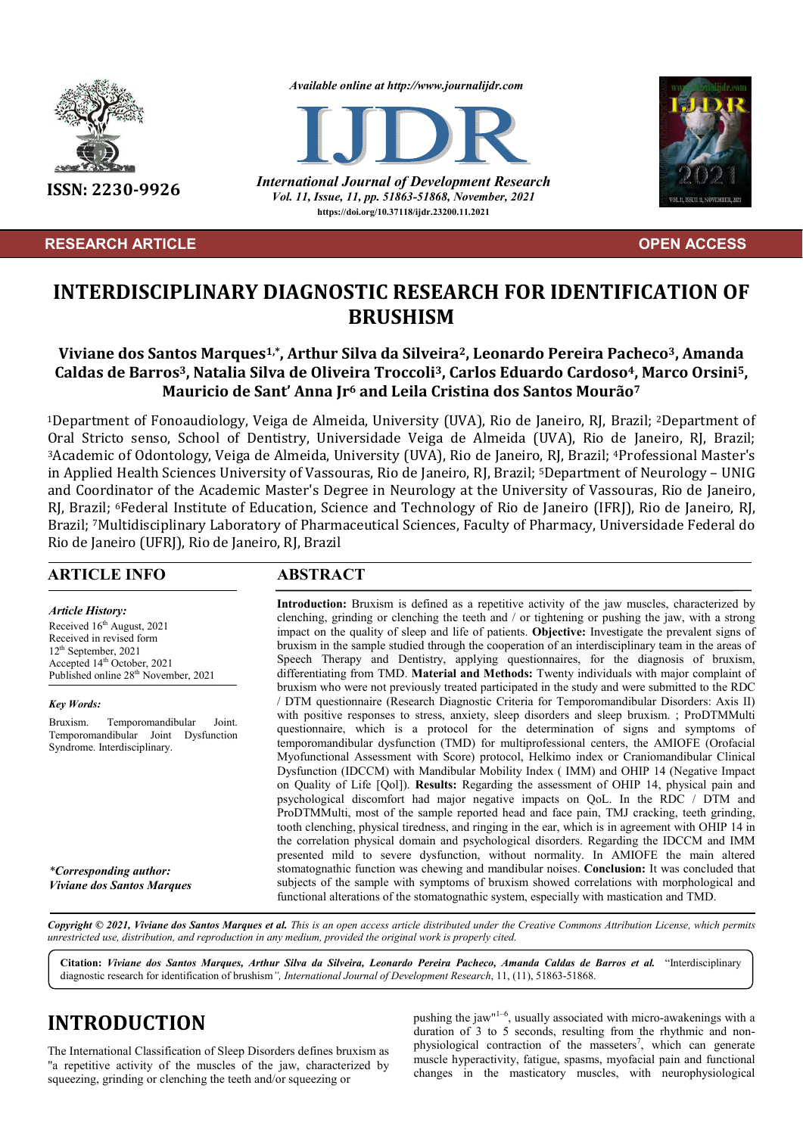

### **RESEARCH ARTICLE OPEN ACCESS**

*Available online at http://www.journalijdr.com*



**ISSN: 2230-9926** *International Journal of Development Research Vol. 11, Issue, 11, pp. 51863-51868, November, 2021* **https://doi.org/10.37118/ijdr.23200.11.2021**



# **INTERDISCIPLINARY DIAGNOSTIC RESEARCH FOR IDENTIFICATION OF BRUSHISM**

## **Viviane dos Santos Marques1,\*, Arthur Silva da Silveira2, Leonardo Pereira Pacheco3, Amanda Caldas de Barros3, Natalia Silva de Oliveira Troccoli3, Carlos Eduardo Cardoso4, Marco Orsini5, Mauricio de Sant' Anna Jr6 and Leila Cristina dos Santos Mourão7**

1Department of Fonoaudiology, Veiga de Almeida, University (UVA), Rio de Janeiro, RJ, Brazil; 2Department of Oral Stricto senso, School of Dentistry, Universidade Veiga de Almeida (UVA), Rio de Janeiro, RJ, Brazil; 3Academic of Odontology, Veiga de Almeida, University (UVA), Rio de Janeiro, RJ, Brazil; 4Professional Master's in Applied Health Sciences University of Vassouras, Rio de Janeiro, RJ, Brazil; 5Department of Neurology – UNIG and Coordinator of the Academic Master's Degree in Neurology at the University of Vassouras, Rio de Janeiro, RJ, Brazil; 6Federal Institute of Education, Science and Technology of Rio de Janeiro (IFRJ), Rio de Janeiro, RJ, Brazil; 7Multidisciplinary Laboratory of Pharmaceutical Sciences, Faculty of Pharmacy, Universidade Federal do Rio de Janeiro (UFRJ), Rio de Janeiro, RJ, Brazil

#### **ARTICLE INFO ABSTRACT**

*Article History:* Received  $16<sup>th</sup>$  August, 2021 Received in revised form 12<sup>th</sup> September, 2021  $\frac{1}{4}$  October, 2021 Published online 28<sup>th</sup> November, 2021

*Key Words:*

Bruxism. Temporomandibular Joint. Temporomandibular Joint Dysfunction Syndrome. Interdisciplinary.

*\*Corresponding author: Viviane dos Santos Marques*

**Introduction:** Bruxism is defined as a repetitive activity of the jaw muscles, characterized by clenching, grinding or clenching the teeth and / or tightening or pushing the jaw, with a strong impact on the quality of sleep and life of patients. **Objective:** Investigate the prevalent signs of bruxism in the sample studied through the cooperation of an interdisciplinary team in the areas of Speech Therapy and Dentistry, applying questionnaires, for the diagnosis of bruxism, differentiating from TMD. **Material and Methods:** Twenty individuals with major complaint of bruxism who were not previously treated participated in the study and were submitted to the RDC / DTM questionnaire (Research Diagnostic Criteria for Temporomandibular Disorders: Axis II) with positive responses to stress, anxiety, sleep disorders and sleep bruxism. ; ProDTMMulti questionnaire, which is a protocol for the determination of signs and symptoms of temporomandibular dysfunction (TMD) for multiprofessional centers, the AMIOFE (Orofacial Myofunctional Assessment with Score) protocol, Helkimo index or Craniomandibular Clinical Dysfunction (IDCCM) with Mandibular Mobility Index ( IMM) and OHIP 14 (Negative Impact on Quality of Life [Qol]). **Results:** Regarding the assessment of OHIP 14, physical pain and psychological discomfort had major negative impacts on QoL. In the RDC / DTM and ProDTMMulti, most of the sample reported head and face pain, TMJ cracking, teeth grinding, tooth clenching, physical tiredness, and ringing in the ear, which is in agreement with OHIP 14 in the correlation physical domain and psychological disorders. Regarding the IDCCM and IMM presented mild to severe dysfunction, without normality. In AMIOFE the main altered stomatognathic function was chewing and mandibular noises. **Conclusion:** It was concluded that subjects of the sample with symptoms of bruxism showed correlations with morphological and functional alterations of the stomatognathic system, especially with mastication and TMD.

Copyright © 2021, Viviane dos Santos Marques et al. This is an open access article distributed under the Creative Commons Attribution License, which permits *unrestricted use, distribution, and reproduction in any medium, provided the original work is properly cited.*

**Citation:** *Viviane dos Santos Marques, Arthur Silva da Silveira, Leonardo Pereira Pacheco, Amanda Caldas de Barros et al.* "Interdisciplinary diagnostic research for identification of brushism*", International Journal of Development Research*, 11, (11), 51863-51868.

# **INTRODUCTION**

The International Classification of Sleep Disorders defines bruxism as "a repetitive activity of the muscles of the jaw, characterized by squeezing, grinding or clenching the teeth and/or squeezing or

pushing the jaw<sup>"1-6</sup>, usually associated with micro-awakenings with a duration of 3 to 5 seconds, resulting from the rhythmic and nonphysiological contraction of the masseters<sup>7</sup>, which can generate muscle hyperactivity, fatigue, spasms, myofacial pain and functional changes in the masticatory muscles, with neurophysiological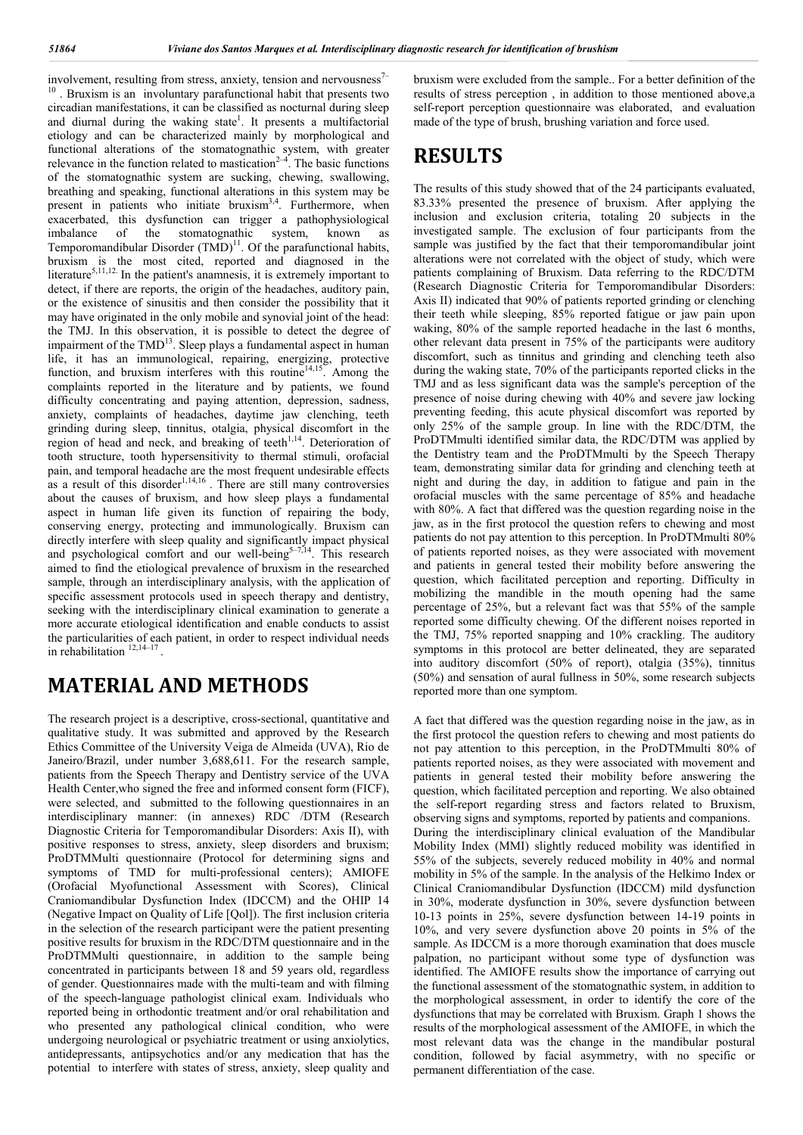involvement, resulting from stress, anxiety, tension and nervousness $<sup>7</sup>$ </sup> . Bruxism is an involuntary parafunctional habit that presents two circadian manifestations, it can be classified as nocturnal during sleep and diurnal during the waking state<sup>1</sup>. It presents a multifactorial etiology and can be characterized mainly by morphological and functional alterations of the stomatognathic system, with greater relevance in the function related to mastication<sup>2-4</sup>. The basic functions of the stomatognathic system are sucking, chewing, swallowing, breathing and speaking, functional alterations in this system may be present in patients who initiate bruxism<sup>3,4</sup>. Furthermore, when exacerbated, this dysfunction can trigger a pathophysiological imbalance of the stomatognathic system, known as Temporomandibular Disorder  $(TMD)^{11}$ . Of the parafunctional habits, bruxism is the most cited, reported and diagnosed in the literature<sup>5,11,12.</sup> In the patient's anamnesis, it is extremely important to detect, if there are reports, the origin of the headaches, auditory pain, or the existence of sinusitis and then consider the possibility that it may have originated in the only mobile and synovial joint of the head: the TMJ. In this observation, it is possible to detect the degree of impairment of the  $TMD<sup>13</sup>$ . Sleep plays a fundamental aspect in human life, it has an immunological, repairing, energizing, protective function, and bruxism interferes with this routine<sup>14,15</sup>. Among the complaints reported in the literature and by patients, we found difficulty concentrating and paying attention, depression, sadness, anxiety, complaints of headaches, daytime jaw clenching, teeth grinding during sleep, tinnitus, otalgia, physical discomfort in the region of head and neck, and breaking of teeth $1,14$ . Deterioration of tooth structure, tooth hypersensitivity to thermal stimuli, orofacial pain, and temporal headache are the most frequent undesirable effects as a result of this disorder $1,14,16$ . There are still many controversies about the causes of bruxism, and how sleep plays a fundamental aspect in human life given its function of repairing the body, conserving energy, protecting and immunologically. Bruxism can directly interfere with sleep quality and significantly impact physical and psychological comfort and our well-being<sup>5-7,14</sup>. This research aimed to find the etiological prevalence of bruxism in the researched sample, through an interdisciplinary analysis, with the application of specific assessment protocols used in speech therapy and dentistry, seeking with the interdisciplinary clinical examination to generate a more accurate etiological identification and enable conducts to assist the particularities of each patient, in order to respect individual needs in rehabilitation  $12,14-17$ .

# **MATERIAL AND METHODS**

The research project is a descriptive, cross-sectional, quantitative and qualitative study. It was submitted and approved by the Research Ethics Committee of the University Veiga de Almeida (UVA), Rio de Janeiro/Brazil, under number 3,688,611. For the research sample, patients from the Speech Therapy and Dentistry service of the UVA Health Center,who signed the free and informed consent form (FICF), were selected, and submitted to the following questionnaires in an interdisciplinary manner: (in annexes) RDC /DTM (Research Diagnostic Criteria for Temporomandibular Disorders: Axis II), with positive responses to stress, anxiety, sleep disorders and bruxism; ProDTMMulti questionnaire (Protocol for determining signs and symptoms of TMD for multi-professional centers); AMIOFE (Orofacial Myofunctional Assessment with Scores), Clinical Craniomandibular Dysfunction Index (IDCCM) and the OHIP 14 (Negative Impact on Quality of Life [Qol]). The first inclusion criteria in the selection of the research participant were the patient presenting positive results for bruxism in the RDC/DTM questionnaire and in the ProDTMMulti questionnaire, in addition to the sample being concentrated in participants between 18 and 59 years old, regardless of gender. Questionnaires made with the multi-team and with filming of the speech-language pathologist clinical exam. Individuals who reported being in orthodontic treatment and/or oral rehabilitation and who presented any pathological clinical condition, who were undergoing neurological or psychiatric treatment or using anxiolytics, antidepressants, antipsychotics and/or any medication that has the potential to interfere with states of stress, anxiety, sleep quality and

bruxism were excluded from the sample.. For a better definition of the results of stress perception , in addition to those mentioned above,a self-report perception questionnaire was elaborated, and evaluation made of the type of brush, brushing variation and force used.

# **RESULTS**

The results of this study showed that of the 24 participants evaluated, 83.33% presented the presence of bruxism. After applying the inclusion and exclusion criteria, totaling 20 subjects in the investigated sample. The exclusion of four participants from the sample was justified by the fact that their temporomandibular joint alterations were not correlated with the object of study, which were patients complaining of Bruxism. Data referring to the RDC/DTM (Research Diagnostic Criteria for Temporomandibular Disorders: Axis II) indicated that 90% of patients reported grinding or clenching their teeth while sleeping, 85% reported fatigue or jaw pain upon waking, 80% of the sample reported headache in the last 6 months, other relevant data present in 75% of the participants were auditory discomfort, such as tinnitus and grinding and clenching teeth also during the waking state, 70% of the participants reported clicks in the TMJ and as less significant data was the sample's perception of the presence of noise during chewing with 40% and severe jaw locking preventing feeding, this acute physical discomfort was reported by only 25% of the sample group. In line with the RDC/DTM, the ProDTMmulti identified similar data, the RDC/DTM was applied by the Dentistry team and the ProDTMmulti by the Speech Therapy team, demonstrating similar data for grinding and clenching teeth at night and during the day, in addition to fatigue and pain in the orofacial muscles with the same percentage of 85% and headache with 80%. A fact that differed was the question regarding noise in the jaw, as in the first protocol the question refers to chewing and most patients do not pay attention to this perception. In ProDTMmulti 80% of patients reported noises, as they were associated with movement and patients in general tested their mobility before answering the question, which facilitated perception and reporting. Difficulty in mobilizing the mandible in the mouth opening had the same percentage of 25%, but a relevant fact was that 55% of the sample reported some difficulty chewing. Of the different noises reported in the TMJ, 75% reported snapping and 10% crackling. The auditory symptoms in this protocol are better delineated, they are separated into auditory discomfort (50% of report), otalgia (35%), tinnitus (50%) and sensation of aural fullness in 50%, some research subjects reported more than one symptom.

A fact that differed was the question regarding noise in the jaw, as in the first protocol the question refers to chewing and most patients do not pay attention to this perception, in the ProDTMmulti 80% of patients reported noises, as they were associated with movement and patients in general tested their mobility before answering the question, which facilitated perception and reporting. We also obtained the self-report regarding stress and factors related to Bruxism, observing signs and symptoms, reported by patients and companions. During the interdisciplinary clinical evaluation of the Mandibular Mobility Index (MMI) slightly reduced mobility was identified in 55% of the subjects, severely reduced mobility in 40% and normal mobility in 5% of the sample. In the analysis of the Helkimo Index or Clinical Craniomandibular Dysfunction (IDCCM) mild dysfunction in 30%, moderate dysfunction in 30%, severe dysfunction between 10-13 points in 25%, severe dysfunction between 14-19 points in 10%, and very severe dysfunction above 20 points in 5% of the sample. As IDCCM is a more thorough examination that does muscle palpation, no participant without some type of dysfunction was identified. The AMIOFE results show the importance of carrying out the functional assessment of the stomatognathic system, in addition to the morphological assessment, in order to identify the core of the dysfunctions that may be correlated with Bruxism. Graph 1 shows the results of the morphological assessment of the AMIOFE, in which the most relevant data was the change in the mandibular postural condition, followed by facial asymmetry, with no specific or permanent differentiation of the case.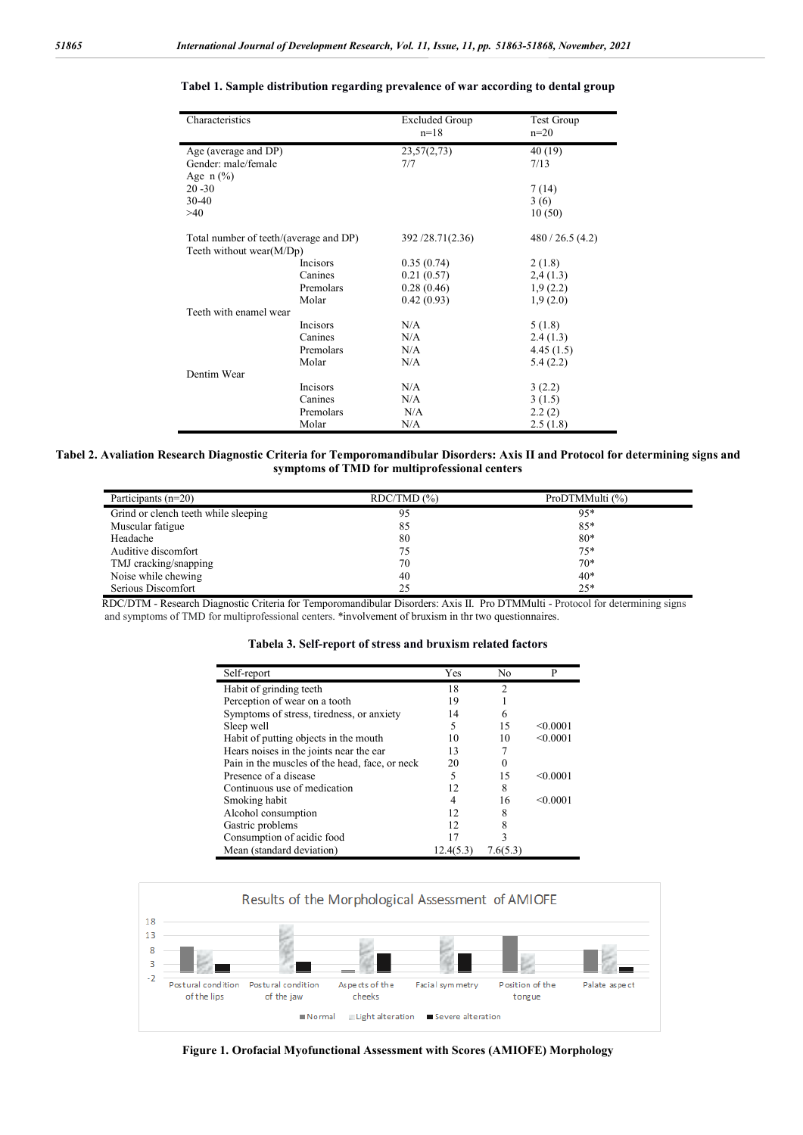| Characteristics                        |                 | <b>Excluded Group</b><br>$n=18$ | Test Group<br>$n=20$ |
|----------------------------------------|-----------------|---------------------------------|----------------------|
| Age (average and DP)                   |                 | 23,57(2,73)                     | 40 (19)              |
| Gender: male/female                    |                 | 7/7                             | 7/13                 |
| Age $n$ (%)                            |                 |                                 |                      |
| $20 - 30$                              |                 |                                 | 7(14)                |
| 30-40                                  |                 |                                 | 3(6)                 |
| >40                                    |                 |                                 | 10(50)               |
| Total number of teeth/(average and DP) |                 | 392/28.71(2.36)                 | 480 / 26.5 (4.2)     |
| Teeth without wear(M/Dp)               |                 |                                 |                      |
|                                        | <b>Incisors</b> | 0.35(0.74)                      | 2(1.8)               |
|                                        | Canines         | 0.21(0.57)                      | 2,4(1.3)             |
|                                        | Premolars       | 0.28(0.46)                      | 1,9(2.2)             |
|                                        | Molar           | 0.42(0.93)                      | 1,9(2.0)             |
| Teeth with enamel wear                 |                 |                                 |                      |
|                                        | Incisors        | N/A                             | 5(1.8)               |
|                                        | Canines         | N/A                             | 2.4(1.3)             |
|                                        | Premolars       | N/A                             | 4.45(1.5)            |
|                                        | Molar           | N/A                             | 5.4(2.2)             |
| Dentim Wear                            |                 |                                 |                      |
|                                        | Incisors        | N/A                             | 3(2.2)               |
|                                        | Canines         | N/A                             | 3(1.5)               |
|                                        | Premolars       | N/A                             | 2.2(2)               |
|                                        | Molar           | N/A                             | 2.5(1.8)             |

#### **Tabel 1. Sample distribution regarding prevalence of war according to dental group**

#### **Tabel 2. Avaliation Research Diagnostic Criteria for Temporomandibular Disorders: Axis II and Protocol for determining signs and symptoms of TMD for multiprofessional centers**

| Participants $(n=20)$                | RDC/TMD (%) | ProDTMMulti (%) |
|--------------------------------------|-------------|-----------------|
| Grind or clench teeth while sleeping | 95          | 95*             |
| Muscular fatigue                     | 85          | 85*             |
| Headache                             | 80          | $80*$           |
| Auditive discomfort                  | 75          | $75*$           |
| TMJ cracking/snapping                | 70          | $70*$           |
| Noise while chewing                  | 40          | 40*             |
| Serious Discomfort                   | 25          | $25*$           |

RDC/DTM - Research Diagnostic Criteria for Temporomandibular Disorders: Axis II. Pro DTMMulti - Protocol for determining signs and symptoms of TMD for multiprofessional centers. \*involvement of bruxism in thr two questionnaires.

|  |  |  | Tabela 3. Self-report of stress and bruxism related factors |  |
|--|--|--|-------------------------------------------------------------|--|
|  |  |  |                                                             |  |

| Self-report                                    | Yes       | No             | P        |
|------------------------------------------------|-----------|----------------|----------|
| Habit of grinding teeth                        | 18        | $\mathfrak{D}$ |          |
| Perception of wear on a tooth                  | 19        |                |          |
| Symptoms of stress, tiredness, or anxiety      | 14        | 6              |          |
| Sleep well                                     | 5         | 15             | < 0.0001 |
| Habit of putting objects in the mouth          | 10        | 10             | < 0.0001 |
| Hears noises in the joints near the ear        | 13        |                |          |
| Pain in the muscles of the head, face, or neck | 20        |                |          |
| Presence of a disease                          | 5         | 15             | < 0.0001 |
| Continuous use of medication                   | 12        | 8              |          |
| Smoking habit                                  |           | 16             | < 0.0001 |
| Alcohol consumption                            | 12        | 8              |          |
| Gastric problems                               | 12        |                |          |
| Consumption of acidic food                     |           |                |          |
| Mean (standard deviation)                      | 12.4(5.3) | 7.6(5.3)       |          |



**Figure 1. Orofacial Myofunctional Assessment with Scores (AMIOFE) Morphology**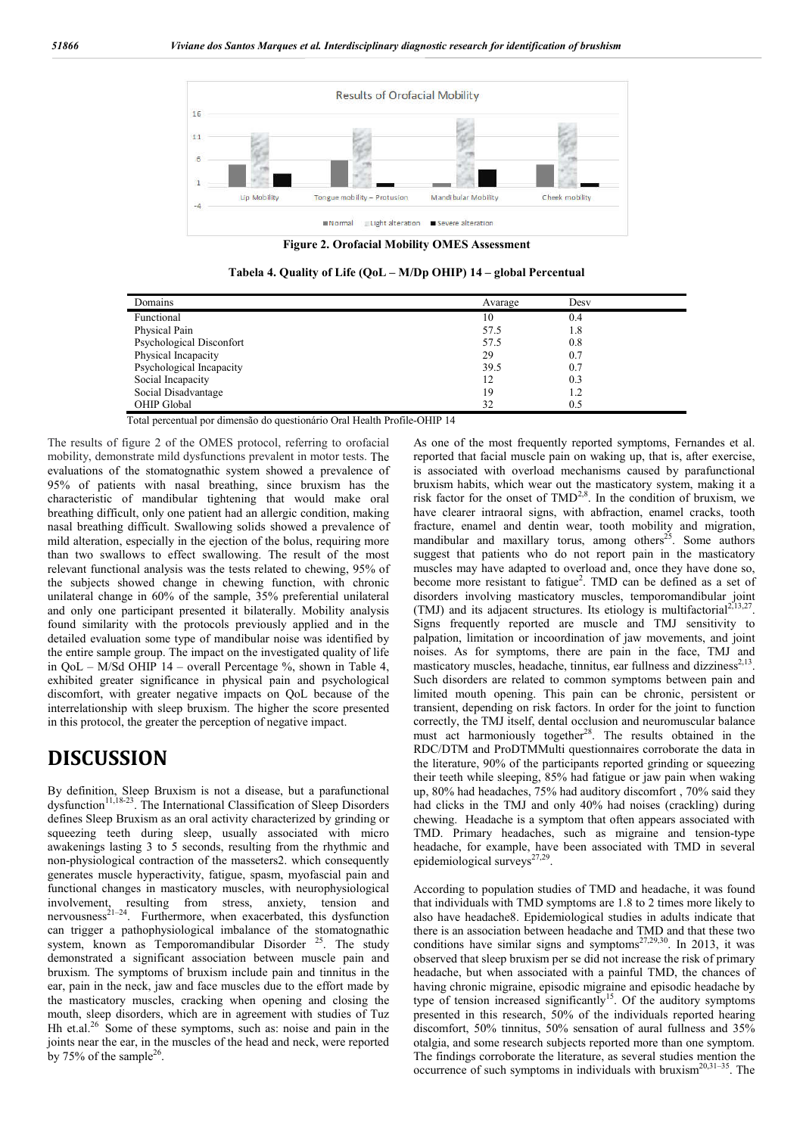

**Figure 2. Orofacial Mobility OMES Assessment**

**Tabela 4. Quality of Life (QoL – M/Dp OHIP) 14 – global Percentual**

| Domains                  | Avarage | Desy |
|--------------------------|---------|------|
| Functional               | 10      | 0.4  |
| Physical Pain            | 57.5    | 1.8  |
| Psychological Disconfort | 57.5    | 0.8  |
| Physical Incapacity      | 29      | 0.7  |
| Psychological Incapacity | 39.5    | 0.7  |
| Social Incapacity        | 12      | 0.3  |
| Social Disadvantage      | 19      | 1.2  |
| OHIP Global              | 32      | 0.5  |

Total percentual por dimensão do questionário Oral Health Profile-OHIP 14

The results of figure 2 of the OMES protocol, referring to orofacial mobility, demonstrate mild dysfunctions prevalent in motor tests. The evaluations of the stomatognathic system showed a prevalence of 95% of patients with nasal breathing, since bruxism has the characteristic of mandibular tightening that would make oral breathing difficult, only one patient had an allergic condition, making nasal breathing difficult. Swallowing solids showed a prevalence of mild alteration, especially in the ejection of the bolus, requiring more than two swallows to effect swallowing. The result of the most relevant functional analysis was the tests related to chewing, 95% of the subjects showed change in chewing function, with chronic unilateral change in 60% of the sample, 35% preferential unilateral and only one participant presented it bilaterally. Mobility analysis found similarity with the protocols previously applied and in the detailed evaluation some type of mandibular noise was identified by the entire sample group. The impact on the investigated quality of life in QoL – M/Sd OHIP 14 – overall Percentage %, shown in Table 4, exhibited greater significance in physical pain and psychological discomfort, with greater negative impacts on QoL because of the interrelationship with sleep bruxism. The higher the score presented in this protocol, the greater the perception of negative impact.

## **DISCUSSION**

By definition, Sleep Bruxism is not a disease, but a parafunctional  $dy$  dysfunction<sup>11,18-23</sup>. The International Classification of Sleep Disorders defines Sleep Bruxism as an oral activity characterized by grinding or squeezing teeth during sleep, usually associated with micro awakenings lasting 3 to 5 seconds, resulting from the rhythmic and non-physiological contraction of the masseters2. which consequently generates muscle hyperactivity, fatigue, spasm, myofascial pain and functional changes in masticatory muscles, with neurophysiological involvement, resulting from stress, anxiety, tension and nervousness<sup>21-24</sup>. Furthermore, when exacerbated, this dysfunction can trigger a pathophysiological imbalance of the stomatognathic system, known as Temporomandibular Disorder  $25$ . The study demonstrated a significant association between muscle pain and bruxism. The symptoms of bruxism include pain and tinnitus in the ear, pain in the neck, jaw and face muscles due to the effort made by the masticatory muscles, cracking when opening and closing the mouth, sleep disorders, which are in agreement with studies of Tuz Hh et.al.<sup>26</sup> Some of these symptoms, such as: noise and pain in the joints near the ear, in the muscles of the head and neck, were reported by 75% of the sample<sup>26</sup>.

As one of the most frequently reported symptoms, Fernandes et al. reported that facial muscle pain on waking up, that is, after exercise, is associated with overload mechanisms caused by parafunctional bruxism habits, which wear out the masticatory system, making it a risk factor for the onset of  $\text{TMD}^{2,8}$ . In the condition of bruxism, we have clearer intraoral signs, with abfraction, enamel cracks, tooth fracture, enamel and dentin wear, tooth mobility and migration, mandibular and maxillary torus, among others<sup>25</sup>. Some authors suggest that patients who do not report pain in the masticatory muscles may have adapted to overload and, once they have done so, become more resistant to fatigue<sup>2</sup>. TMD can be defined as a set of disorders involving masticatory muscles, temporomandibular joint (TMJ) and its adjacent structures. Its etiology is multifactorial<sup>2,13,27</sup>. Signs frequently reported are muscle and TMJ sensitivity to palpation, limitation or incoordination of jaw movements, and joint noises. As for symptoms, there are pain in the face, TMJ and masticatory muscles, headache, tinnitus, ear fullness and dizziness<sup>2,</sup> Such disorders are related to common symptoms between pain and limited mouth opening. This pain can be chronic, persistent or transient, depending on risk factors. In order for the joint to function correctly, the TMJ itself, dental occlusion and neuromuscular balance must act harmoniously together<sup>28</sup>. The results obtained in the RDC/DTM and ProDTMMulti questionnaires corroborate the data in the literature, 90% of the participants reported grinding or squeezing their teeth while sleeping, 85% had fatigue or jaw pain when waking up, 80% had headaches, 75% had auditory discomfort , 70% said they had clicks in the TMJ and only 40% had noises (crackling) during chewing. Headache is a symptom that often appears associated with TMD. Primary headaches, such as migraine and tension-type headache, for example, have been associated with TMD in several epidemiological surveys<sup>27,29</sup>.

According to population studies of TMD and headache, it was found that individuals with TMD symptoms are 1.8 to 2 times more likely to also have headache8. Epidemiological studies in adults indicate that there is an association between headache and TMD and that these two conditions have similar signs and symptoms<sup>27,29,30</sup>. In 2013, it was observed that sleep bruxism per se did not increase the risk of primary headache, but when associated with a painful TMD, the chances of having chronic migraine, episodic migraine and episodic headache by type of tension increased significantly<sup>15</sup>. Of the auditory symptoms presented in this research, 50% of the individuals reported hearing discomfort, 50% tinnitus, 50% sensation of aural fullness and 35% otalgia, and some research subjects reported more than one symptom. The findings corroborate the literature, as several studies mention the occurrence of such symptoms in individuals with bruxism<sup>20,31-35</sup>. The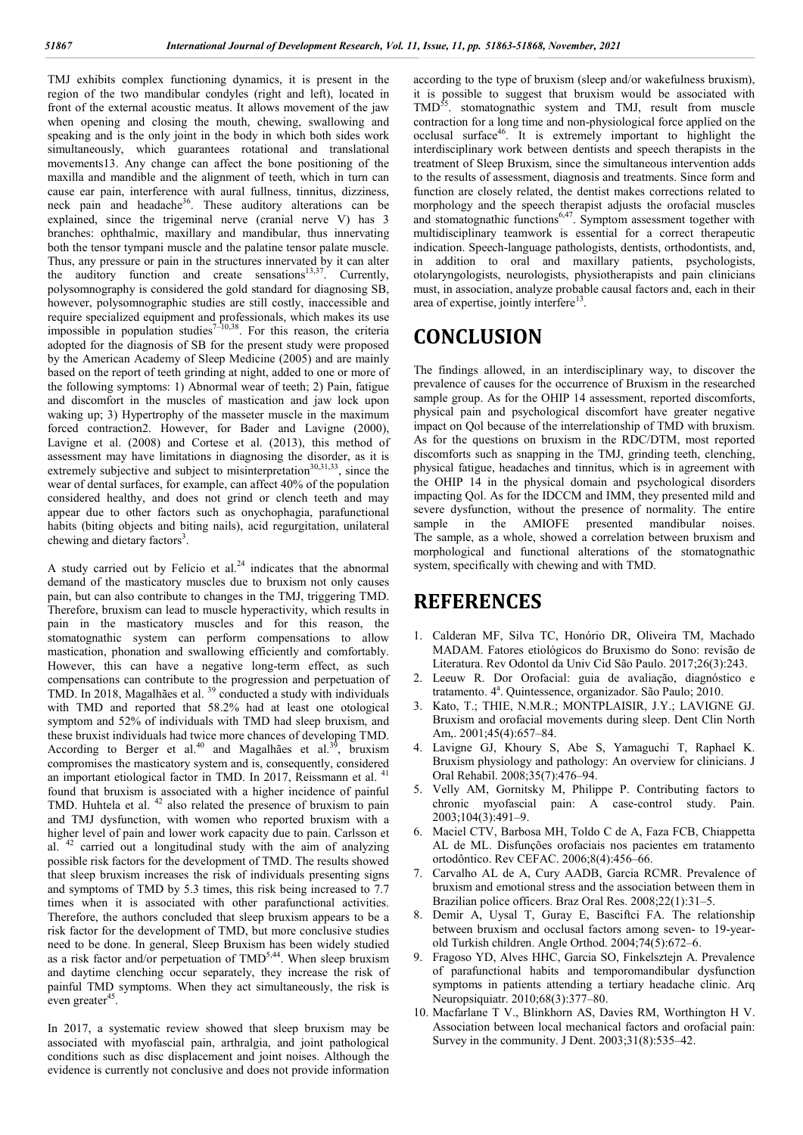TMJ exhibits complex functioning dynamics, it is present in the region of the two mandibular condyles (right and left), located in front of the external acoustic meatus. It allows movement of the jaw when opening and closing the mouth, chewing, swallowing and speaking and is the only joint in the body in which both sides work simultaneously, which guarantees rotational and translational movements13. Any change can affect the bone positioning of the maxilla and mandible and the alignment of teeth, which in turn can cause ear pain, interference with aural fullness, tinnitus, dizziness, neck pain and headache<sup>36</sup>. These auditory alterations can be explained, since the trigeminal nerve (cranial nerve V) has 3 branches: ophthalmic, maxillary and mandibular, thus innervating both the tensor tympani muscle and the palatine tensor palate muscle. Thus, any pressure or pain in the structures innervated by it can alter the auditory function and create sensations $13,37$ . Currently, polysomnography is considered the gold standard for diagnosing SB, however, polysomnographic studies are still costly, inaccessible and require specialized equipment and professionals, which makes its use impossible in population studies<sup>7-10,38</sup>. For this reason, the criteria adopted for the diagnosis of SB for the present study were proposed by the American Academy of Sleep Medicine (2005) and are mainly based on the report of teeth grinding at night, added to one or more of the following symptoms: 1) Abnormal wear of teeth; 2) Pain, fatigue and discomfort in the muscles of mastication and jaw lock upon waking up; 3) Hypertrophy of the masseter muscle in the maximum forced contraction2. However, for Bader and Lavigne (2000), Lavigne et al. (2008) and Cortese et al. (2013), this method of assessment may have limitations in diagnosing the disorder, as it is extremely subjective and subject to misinterpretation<sup>30,31,33</sup>, since the wear of dental surfaces, for example, can affect 40% of the population considered healthy, and does not grind or clench teeth and may appear due to other factors such as onychophagia, parafunctional habits (biting objects and biting nails), acid regurgitation, unilateral chewing and dietary factors<sup>3</sup>.

A study carried out by Felício et al. $24$  indicates that the abnormal demand of the masticatory muscles due to bruxism not only causes pain, but can also contribute to changes in the TMJ, triggering TMD. Therefore, bruxism can lead to muscle hyperactivity, which results in pain in the masticatory muscles and for this reason, the stomatognathic system can perform compensations to allow mastication, phonation and swallowing efficiently and comfortably. However, this can have a negative long-term effect, as such compensations can contribute to the progression and perpetuation of TMD. In 2018, Magalhães et al. <sup>39</sup> conducted a study with individuals with TMD and reported that 58.2% had at least one otological symptom and 52% of individuals with TMD had sleep bruxism, and these bruxist individuals had twice more chances of developing TMD. According to Berger et al.<sup>40</sup> and Magalhães et al.<sup>39</sup>, bruxism compromises the masticatory system and is, consequently, considered an important etiological factor in TMD. In 2017, Reissmann et al. <sup>41</sup> found that bruxism is associated with a higher incidence of painful TMD. Huhtela et al.  $42$  also related the presence of bruxism to pain and TMJ dysfunction, with women who reported bruxism with a higher level of pain and lower work capacity due to pain. Carlsson et al. <sup>42</sup> carried out a longitudinal study with the aim of analyzing possible risk factors for the development of TMD. The results showed that sleep bruxism increases the risk of individuals presenting signs and symptoms of TMD by 5.3 times, this risk being increased to 7.7 times when it is associated with other parafunctional activities. Therefore, the authors concluded that sleep bruxism appears to be a risk factor for the development of TMD, but more conclusive studies need to be done. In general, Sleep Bruxism has been widely studied as a risk factor and/or perpetuation of TMD<sup>5,44</sup>. When sleep bruxism and daytime clenching occur separately, they increase the risk of painful TMD symptoms. When they act simultaneously, the risk is even greater<sup>45</sup>.

In 2017, a systematic review showed that sleep bruxism may be associated with myofascial pain, arthralgia, and joint pathological conditions such as disc displacement and joint noises. Although the evidence is currently not conclusive and does not provide information

according to the type of bruxism (sleep and/or wakefulness bruxism), it is possible to suggest that bruxism would be associated with TMD<sup>55</sup>. stomatognathic system and TMJ, result from muscle contraction for a long time and non-physiological force applied on the occlusal surface46. It is extremely important to highlight the interdisciplinary work between dentists and speech therapists in the treatment of Sleep Bruxism, since the simultaneous intervention adds to the results of assessment, diagnosis and treatments. Since form and function are closely related, the dentist makes corrections related to morphology and the speech therapist adjusts the orofacial muscles and stomatognathic functions $6,47$ . Symptom assessment together with multidisciplinary teamwork is essential for a correct therapeutic indication. Speech-language pathologists, dentists, orthodontists, and, in addition to oral and maxillary patients, psychologists, otolaryngologists, neurologists, physiotherapists and pain clinicians must, in association, analyze probable causal factors and, each in their area of expertise, jointly interfere $13$ .

## **CONCLUSION**

The findings allowed, in an interdisciplinary way, to discover the prevalence of causes for the occurrence of Bruxism in the researched sample group. As for the OHIP 14 assessment, reported discomforts, physical pain and psychological discomfort have greater negative impact on Qol because of the interrelationship of TMD with bruxism. As for the questions on bruxism in the RDC/DTM, most reported discomforts such as snapping in the TMJ, grinding teeth, clenching, physical fatigue, headaches and tinnitus, which is in agreement with the OHIP 14 in the physical domain and psychological disorders impacting Qol. As for the IDCCM and IMM, they presented mild and severe dysfunction, without the presence of normality. The entire<br>sample in the AMIOFE presented mandibular poises sample in the AMIOFE presented mandibular The sample, as a whole, showed a correlation between bruxism and morphological and functional alterations of the stomatognathic system, specifically with chewing and with TMD.

## **REFERENCES**

- 1. Calderan MF, Silva TC, Honório DR, Oliveira TM, Machado MADAM. Fatores etiológicos do Bruxismo do Sono: revisão de Literatura. Rev Odontol da Univ Cid São Paulo. 2017;26(3):243.
- 2. Leeuw R. Dor Orofacial: guia de avaliação, diagnóstico e tratamento. 4ª. Quintessence, organizador. São Paulo; 2010.
- 3. Kato, T.; THIE, N.M.R.; MONTPLAISIR, J.Y.; LAVIGNE GJ. Bruxism and orofacial movements during sleep. Dent Clin North Am,. 2001;45(4):657–84.
- 4. Lavigne GJ, Khoury S, Abe S, Yamaguchi T, Raphael K. Bruxism physiology and pathology: An overview for clinicians. J Oral Rehabil. 2008;35(7):476–94.
- 5. Velly AM, Gornitsky M, Philippe P. Contributing factors to chronic myofascial pain: A case-control study. Pain. 2003;104(3):491–9.
- 6. Maciel CTV, Barbosa MH, Toldo C de A, Faza FCB, Chiappetta AL de ML. Disfunções orofaciais nos pacientes em tratamento ortodôntico. Rev CEFAC. 2006;8(4):456–66.
- 7. Carvalho AL de A, Cury AADB, Garcia RCMR. Prevalence of bruxism and emotional stress and the association between them in Brazilian police officers. Braz Oral Res. 2008;22(1):31–5.
- 8. Demir A, Uysal T, Guray E, Basciftci FA. The relationship between bruxism and occlusal factors among seven- to 19-yearold Turkish children. Angle Orthod. 2004;74(5):672–6.
- 9. Fragoso YD, Alves HHC, Garcia SO, Finkelsztejn A. Prevalence of parafunctional habits and temporomandibular dysfunction symptoms in patients attending a tertiary headache clinic. Arq Neuropsiquiatr. 2010;68(3):377–80.
- 10. Macfarlane T V., Blinkhorn AS, Davies RM, Worthington H V. Association between local mechanical factors and orofacial pain: Survey in the community. J Dent. 2003;31(8):535–42.